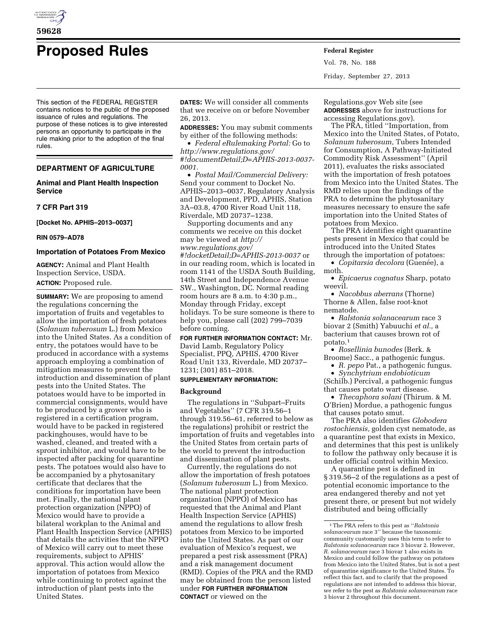

# **Proposed Rules Federal Register**

Vol. 78, No. 188 Friday, September 27, 2013

This section of the FEDERAL REGISTER contains notices to the public of the proposed issuance of rules and regulations. The purpose of these notices is to give interested persons an opportunity to participate in the rule making prior to the adoption of the final rules.

# **DEPARTMENT OF AGRICULTURE**

# **Animal and Plant Health Inspection Service**

# **7 CFR Part 319**

**[Docket No. APHIS–2013–0037]** 

#### **RIN 0579–AD78**

#### **Importation of Potatoes From Mexico**

**AGENCY:** Animal and Plant Health Inspection Service, USDA. **ACTION:** Proposed rule.

**SUMMARY:** We are proposing to amend the regulations concerning the importation of fruits and vegetables to allow the importation of fresh potatoes (*Solanum tuberosum* L.) from Mexico into the United States. As a condition of entry, the potatoes would have to be produced in accordance with a systems approach employing a combination of mitigation measures to prevent the introduction and dissemination of plant pests into the United States. The potatoes would have to be imported in commercial consignments, would have to be produced by a grower who is registered in a certification program, would have to be packed in registered packinghouses, would have to be washed, cleaned, and treated with a sprout inhibitor, and would have to be inspected after packing for quarantine pests. The potatoes would also have to be accompanied by a phytosanitary certificate that declares that the conditions for importation have been met. Finally, the national plant protection organization (NPPO) of Mexico would have to provide a bilateral workplan to the Animal and Plant Health Inspection Service (APHIS) that details the activities that the NPPO of Mexico will carry out to meet these requirements, subject to APHIS' approval. This action would allow the importation of potatoes from Mexico while continuing to protect against the introduction of plant pests into the United States.

**DATES:** We will consider all comments that we receive on or before November 26, 2013.

**ADDRESSES:** You may submit comments by either of the following methods:

• *Federal eRulemaking Portal:* Go to *[http://www.regulations.gov/](http://www.regulations.gov/#!documentDetail;D=APHIS-2013-0037-0001)  [#!documentDetail;D=APHIS-2013-0037-](http://www.regulations.gov/#!documentDetail;D=APHIS-2013-0037-0001) [0001.](http://www.regulations.gov/#!documentDetail;D=APHIS-2013-0037-0001)* 

• *Postal Mail/Commercial Delivery:*  Send your comment to Docket No. APHIS–2013–0037, Regulatory Analysis and Development, PPD, APHIS, Station 3A–03.8, 4700 River Road Unit 118, Riverdale, MD 20737–1238.

Supporting documents and any comments we receive on this docket may be viewed at *[http://](http://www.regulations.gov/#!docketDetail;D=APHIS-2013-0037)  [www.regulations.gov/](http://www.regulations.gov/#!docketDetail;D=APHIS-2013-0037) [#!docketDetail;D=APHIS-2013-0037](http://www.regulations.gov/#!docketDetail;D=APHIS-2013-0037)* or in our reading room, which is located in room 1141 of the USDA South Building, 14th Street and Independence Avenue SW., Washington, DC. Normal reading room hours are 8 a.m. to 4:30 p.m., Monday through Friday, except holidays. To be sure someone is there to help you, please call (202) 799–7039 before coming.

**FOR FURTHER INFORMATION CONTACT:** Mr. David Lamb, Regulatory Policy Specialist, PPQ, APHIS, 4700 River Road Unit 133, Riverdale, MD 20737– 1231; (301) 851–2018.

# **SUPPLEMENTARY INFORMATION:**

# **Background**

The regulations in ''Subpart–Fruits and Vegetables'' (7 CFR 319.56–1 through 319.56–61, referred to below as the regulations) prohibit or restrict the importation of fruits and vegetables into the United States from certain parts of the world to prevent the introduction and dissemination of plant pests.

Currently, the regulations do not allow the importation of fresh potatoes (*Solanum tuberosum* L.) from Mexico. The national plant protection organization (NPPO) of Mexico has requested that the Animal and Plant Health Inspection Service (APHIS) amend the regulations to allow fresh potatoes from Mexico to be imported into the United States. As part of our evaluation of Mexico's request, we prepared a pest risk assessment (PRA) and a risk management document (RMD). Copies of the PRA and the RMD may be obtained from the person listed under **FOR FURTHER INFORMATION CONTACT** or viewed on the

Regulations.gov Web site (see **ADDRESSES** above for instructions for accessing Regulations.gov).

The PRA, titled ''Importation, from Mexico into the United States, of Potato, *Solanum tuberosum,* Tubers Intended for Consumption, A Pathway-Initiated Commodity Risk Assessment'' (April 2011), evaluates the risks associated with the importation of fresh potatoes from Mexico into the United States. The RMD relies upon the findings of the PRA to determine the phytosanitary measures necessary to ensure the safe importation into the United States of potatoes from Mexico.

The PRA identifies eight quarantine pests present in Mexico that could be introduced into the United States through the importation of potatoes:

• *Copitarsia decolora* (Guenée), a moth.

• *Epicaerus cognatus* Sharp, potato weevil.

• *Nacobbus aberrans* (Thorne) Thorne & Allen, false root-knot nematode.

• *Ralstonia solanacearum* race 3 biovar 2 (Smith) Yabuuchi *et al.,* a bacterium that causes brown rot of potato.1

• *Rosellinia bunodes* (Berk. &

- Broome) Sacc., a pathogenic fungus.
	- *R. pepo* Pat., a pathogenic fungus.

• *Synchytrium endobioticum*  (Schilb.) Percival, a pathogenic fungus that causes potato wart disease.

• *Thecaphora solani* (Thirum. & M. O'Brien) Mordue, a pathogenic fungus that causes potato smut.

The PRA also identifies *Globodera rostochiensis,* golden cyst nematode, as a quarantine pest that exists in Mexico, and determines that this pest is unlikely to follow the pathway only because it is under official control within Mexico.

A quarantine pest is defined in § 319.56–2 of the regulations as a pest of potential economic importance to the area endangered thereby and not yet present there, or present but not widely distributed and being officially

<sup>1</sup>The PRA refers to this pest as ''*Ralstonia solanacearum* race 3'' because the taxonomic community customarily uses this term to refer to *Ralstonia solanacearum* race 3 biovar 2. However, *R. solanacearum* race 3 biovar 1 also exists in Mexico and could follow the pathway on potatoes from Mexico into the United States, but is not a pest of quarantine significance to the United States. To reflect this fact, and to clarify that the proposed regulations are not intended to address this biovar, we refer to the pest as *Ralstonia solanacearum* race 3 biovar 2 throughout this document.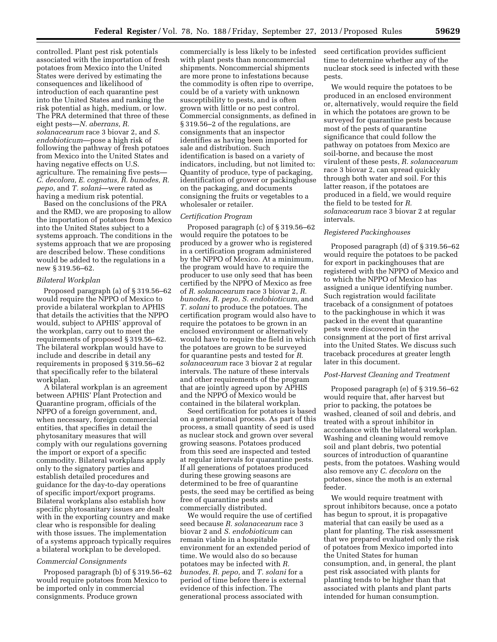controlled. Plant pest risk potentials associated with the importation of fresh potatoes from Mexico into the United States were derived by estimating the consequences and likelihood of introduction of each quarantine pest into the United States and ranking the risk potential as high, medium, or low. The PRA determined that three of these eight pests—*N. aberrans, R. solanacearum* race 3 biovar 2, and *S. endobioticum*—pose a high risk of following the pathway of fresh potatoes from Mexico into the United States and having negative effects on U.S. agriculture. The remaining five pests— *C. decolora, E. cognatus, R. bunodes, R. pepo,* and *T. solani*—were rated as having a medium risk potential.

Based on the conclusions of the PRA and the RMD, we are proposing to allow the importation of potatoes from Mexico into the United States subject to a systems approach. The conditions in the systems approach that we are proposing are described below. These conditions would be added to the regulations in a new § 319.56–62.

#### *Bilateral Workplan*

Proposed paragraph (a) of § 319.56–62 would require the NPPO of Mexico to provide a bilateral workplan to APHIS that details the activities that the NPPO would, subject to APHIS' approval of the workplan, carry out to meet the requirements of proposed § 319.56–62. The bilateral workplan would have to include and describe in detail any requirements in proposed § 319.56–62 that specifically refer to the bilateral workplan.

A bilateral workplan is an agreement between APHIS' Plant Protection and Quarantine program, officials of the NPPO of a foreign government, and, when necessary, foreign commercial entities, that specifies in detail the phytosanitary measures that will comply with our regulations governing the import or export of a specific commodity. Bilateral workplans apply only to the signatory parties and establish detailed procedures and guidance for the day-to-day operations of specific import/export programs. Bilateral workplans also establish how specific phytosanitary issues are dealt with in the exporting country and make clear who is responsible for dealing with those issues. The implementation of a systems approach typically requires a bilateral workplan to be developed.

#### *Commercial Consignments*

Proposed paragraph (b) of § 319.56–62 would require potatoes from Mexico to be imported only in commercial consignments. Produce grown

commercially is less likely to be infested with plant pests than noncommercial shipments. Noncommercial shipments are more prone to infestations because the commodity is often ripe to overripe, could be of a variety with unknown susceptibility to pests, and is often grown with little or no pest control. Commercial consignments, as defined in § 319.56–2 of the regulations, are consignments that an inspector identifies as having been imported for sale and distribution. Such identification is based on a variety of indicators, including, but not limited to: Quantity of produce, type of packaging, identification of grower or packinghouse on the packaging, and documents consigning the fruits or vegetables to a wholesaler or retailer.

# *Certification Program*

Proposed paragraph (c) of § 319.56–62 would require the potatoes to be produced by a grower who is registered in a certification program administered by the NPPO of Mexico. At a minimum, the program would have to require the producer to use only seed that has been certified by the NPPO of Mexico as free of *R. solanacearum* race 3 biovar 2, *R. bunodes, R. pepo, S. endobioticum,* and *T. solani* to produce the potatoes. The certification program would also have to require the potatoes to be grown in an enclosed environment or alternatively would have to require the field in which the potatoes are grown to be surveyed for quarantine pests and tested for *R. solanacearum* race 3 biovar 2 at regular intervals. The nature of these intervals and other requirements of the program that are jointly agreed upon by APHIS and the NPPO of Mexico would be contained in the bilateral workplan.

Seed certification for potatoes is based on a generational process. As part of this process, a small quantity of seed is used as nuclear stock and grown over several growing seasons. Potatoes produced from this seed are inspected and tested at regular intervals for quarantine pests. If all generations of potatoes produced during these growing seasons are determined to be free of quarantine pests, the seed may be certified as being free of quarantine pests and commercially distributed.

We would require the use of certified seed because *R. solanacearum* race 3 biovar 2 and *S. endobioticum* can remain viable in a hospitable environment for an extended period of time. We would also do so because potatoes may be infected with *R. bunodes, R. pepo,* and *T. solani* for a period of time before there is external evidence of this infection. The generational process associated with

seed certification provides sufficient time to determine whether any of the nuclear stock seed is infected with these pests.

We would require the potatoes to be produced in an enclosed environment or, alternatively, would require the field in which the potatoes are grown to be surveyed for quarantine pests because most of the pests of quarantine significance that could follow the pathway on potatoes from Mexico are soil-borne, and because the most virulent of these pests, *R. solanacearum*  race 3 biovar 2, can spread quickly through both water and soil. For this latter reason, if the potatoes are produced in a field, we would require the field to be tested for *R. solanacearum* race 3 biovar 2 at regular intervals.

#### *Registered Packinghouses*

Proposed paragraph (d) of § 319.56–62 would require the potatoes to be packed for export in packinghouses that are registered with the NPPO of Mexico and to which the NPPO of Mexico has assigned a unique identifying number. Such registration would facilitate traceback of a consignment of potatoes to the packinghouse in which it was packed in the event that quarantine pests were discovered in the consignment at the port of first arrival into the United States. We discuss such traceback procedures at greater length later in this document.

# *Post-Harvest Cleaning and Treatment*

Proposed paragraph (e) of § 319.56–62 would require that, after harvest but prior to packing, the potatoes be washed, cleaned of soil and debris, and treated with a sprout inhibitor in accordance with the bilateral workplan. Washing and cleaning would remove soil and plant debris, two potential sources of introduction of quarantine pests, from the potatoes. Washing would also remove any *C. decolora* on the potatoes, since the moth is an external feeder.

We would require treatment with sprout inhibitors because, once a potato has begun to sprout, it is propagative material that can easily be used as a plant for planting. The risk assessment that we prepared evaluated only the risk of potatoes from Mexico imported into the United States for human consumption, and, in general, the plant pest risk associated with plants for planting tends to be higher than that associated with plants and plant parts intended for human consumption.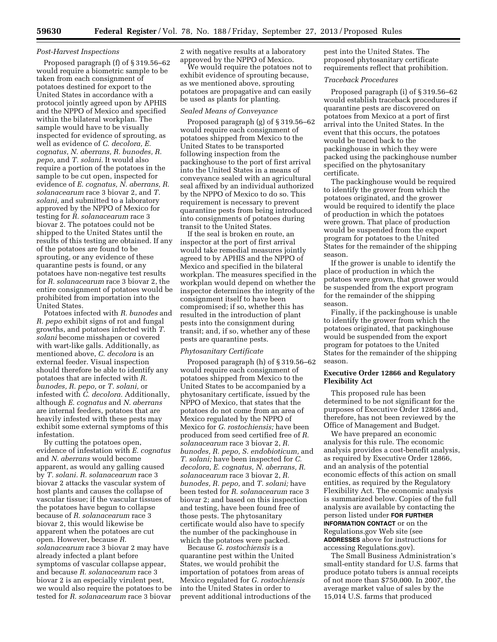# *Post-Harvest Inspections*

Proposed paragraph (f) of § 319.56–62 would require a biometric sample to be taken from each consignment of potatoes destined for export to the United States in accordance with a protocol jointly agreed upon by APHIS and the NPPO of Mexico and specified within the bilateral workplan. The sample would have to be visually inspected for evidence of sprouting, as well as evidence of *C. decolora, E. cognatus, N. aberrans, R. bunodes, R. pepo,* and *T. solani.* It would also require a portion of the potatoes in the sample to be cut open, inspected for evidence of *E. cognatus, N. aberrans, R. solanacearum* race 3 biovar 2, and *T. solani,* and submitted to a laboratory approved by the NPPO of Mexico for testing for *R. solanacearum* race 3 biovar 2. The potatoes could not be shipped to the United States until the results of this testing are obtained. If any of the potatoes are found to be sprouting, or any evidence of these quarantine pests is found, or any potatoes have non-negative test results for *R. solanacearum* race 3 biovar 2, the entire consignment of potatoes would be prohibited from importation into the United States.

Potatoes infected with *R. bunodes* and *R. pepo* exhibit signs of rot and fungal growths, and potatoes infected with *T. solani* become misshapen or covered with wart-like galls. Additionally, as mentioned above, *C. decolora* is an external feeder. Visual inspection should therefore be able to identify any potatoes that are infected with *R. bunodes, R. pepo,* or *T. solani,* or infested with *C. decolora.* Additionally, although *E. cognatus* and *N. aberrans*  are internal feeders, potatoes that are heavily infested with these pests may exhibit some external symptoms of this infestation.

By cutting the potatoes open, evidence of infestation with *E. cognatus*  and *N. aberrans* would become apparent, as would any galling caused by *T. solani. R. solanacearum* race 3 biovar 2 attacks the vascular system of host plants and causes the collapse of vascular tissue; if the vascular tissues of the potatoes have begun to collapse because of *R. solanacearum* race 3 biovar 2, this would likewise be apparent when the potatoes are cut open. However, because *R. solanacearum* race 3 biovar 2 may have already infected a plant before symptoms of vascular collapse appear, and because *R. solanacearum* race 3 biovar 2 is an especially virulent pest, we would also require the potatoes to be tested for *R. solanacearum* race 3 biovar

2 with negative results at a laboratory approved by the NPPO of Mexico.

We would require the potatoes not to exhibit evidence of sprouting because, as we mentioned above, sprouting potatoes are propagative and can easily be used as plants for planting.

# *Sealed Means of Conveyance*

Proposed paragraph (g) of § 319.56–62 would require each consignment of potatoes shipped from Mexico to the United States to be transported following inspection from the packinghouse to the port of first arrival into the United States in a means of conveyance sealed with an agricultural seal affixed by an individual authorized by the NPPO of Mexico to do so. This requirement is necessary to prevent quarantine pests from being introduced into consignments of potatoes during transit to the United States.

If the seal is broken en route, an inspector at the port of first arrival would take remedial measures jointly agreed to by APHIS and the NPPO of Mexico and specified in the bilateral workplan. The measures specified in the workplan would depend on whether the inspector determines the integrity of the consignment itself to have been compromised; if so, whether this has resulted in the introduction of plant pests into the consignment during transit; and, if so, whether any of these pests are quarantine pests.

#### *Phytosanitary Certificate*

Proposed paragraph (h) of § 319.56–62 would require each consignment of potatoes shipped from Mexico to the United States to be accompanied by a phytosanitary certificate, issued by the NPPO of Mexico, that states that the potatoes do not come from an area of Mexico regulated by the NPPO of Mexico for *G. rostochiensis;* have been produced from seed certified free of *R. solanacearum* race 3 biovar 2, *R. bunodes, R. pepo, S. endobioticum,* and *T. solani;* have been inspected for *C. decolora, E. cognatus, N. aberrans, R. solanacearum* race 3 biovar 2, *R. bunodes, R. pepo,* and *T. solani;* have been tested for *R. solanacearum* race 3 biovar 2; and based on this inspection and testing, have been found free of those pests. The phytosanitary certificate would also have to specify the number of the packinghouse in which the potatoes were packed.

Because *G. rostochiensis* is a quarantine pest within the United States, we would prohibit the importation of potatoes from areas of Mexico regulated for *G. rostochiensis*  into the United States in order to prevent additional introductions of the pest into the United States. The proposed phytosanitary certificate requirements reflect that prohibition.

#### *Traceback Procedures*

Proposed paragraph (i) of § 319.56–62 would establish traceback procedures if quarantine pests are discovered on potatoes from Mexico at a port of first arrival into the United States. In the event that this occurs, the potatoes would be traced back to the packinghouse in which they were packed using the packinghouse number specified on the phytosanitary certificate.

The packinghouse would be required to identify the grower from which the potatoes originated, and the grower would be required to identify the place of production in which the potatoes were grown. That place of production would be suspended from the export program for potatoes to the United States for the remainder of the shipping season.

If the grower is unable to identify the place of production in which the potatoes were grown, that grower would be suspended from the export program for the remainder of the shipping season.

Finally, if the packinghouse is unable to identify the grower from which the potatoes originated, that packinghouse would be suspended from the export program for potatoes to the United States for the remainder of the shipping season.

# **Executive Order 12866 and Regulatory Flexibility Act**

This proposed rule has been determined to be not significant for the purposes of Executive Order 12866 and, therefore, has not been reviewed by the Office of Management and Budget.

We have prepared an economic analysis for this rule. The economic analysis provides a cost-benefit analysis, as required by Executive Order 12866, and an analysis of the potential economic effects of this action on small entities, as required by the Regulatory Flexibility Act. The economic analysis is summarized below. Copies of the full analysis are available by contacting the person listed under **FOR FURTHER INFORMATION CONTACT** or on the Regulations.gov Web site (see **ADDRESSES** above for instructions for accessing Regulations.gov).

The Small Business Administration's small-entity standard for U.S. farms that produce potato tubers is annual receipts of not more than \$750,000. In 2007, the average market value of sales by the 15,014 U.S. farms that produced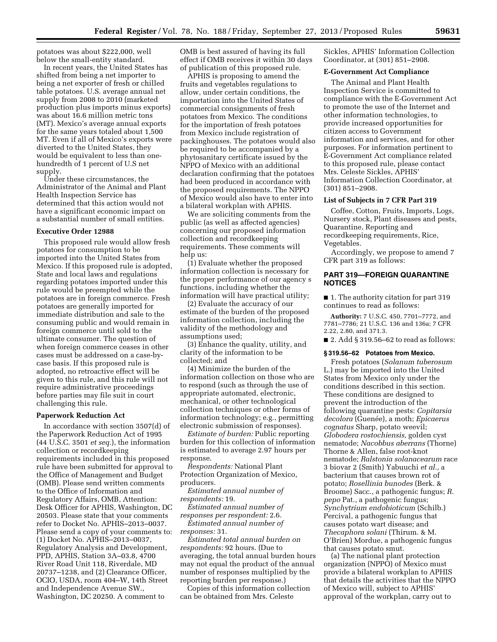potatoes was about \$222,000, well below the small-entity standard.

In recent years, the United States has shifted from being a net importer to being a net exporter of fresh or chilled table potatoes. U.S. average annual net supply from 2008 to 2010 (marketed production plus imports minus exports) was about 16.6 million metric tons (MT). Mexico's average annual exports for the same years totaled about 1,500 MT. Even if all of Mexico's exports were diverted to the United States, they would be equivalent to less than onehundredth of 1 percent of U.S net supply.

Under these circumstances, the Administrator of the Animal and Plant Health Inspection Service has determined that this action would not have a significant economic impact on a substantial number of small entities.

# **Executive Order 12988**

This proposed rule would allow fresh potatoes for consumption to be imported into the United States from Mexico. If this proposed rule is adopted, State and local laws and regulations regarding potatoes imported under this rule would be preempted while the potatoes are in foreign commerce. Fresh potatoes are generally imported for immediate distribution and sale to the consuming public and would remain in foreign commerce until sold to the ultimate consumer. The question of when foreign commerce ceases in other cases must be addressed on a case-bycase basis. If this proposed rule is adopted, no retroactive effect will be given to this rule, and this rule will not require administrative proceedings before parties may file suit in court challenging this rule.

#### **Paperwork Reduction Act**

In accordance with section 3507(d) of the Paperwork Reduction Act of 1995 (44 U.S.C. 3501 *et seq.*), the information collection or recordkeeping requirements included in this proposed rule have been submitted for approval to the Office of Management and Budget (OMB). Please send written comments to the Office of Information and Regulatory Affairs, OMB, Attention: Desk Officer for APHIS, Washington, DC 20503. Please state that your comments refer to Docket No. APHIS–2013–0037. Please send a copy of your comments to: (1) Docket No. APHIS–2013–0037, Regulatory Analysis and Development, PPD, APHIS, Station 3A–03.8, 4700 River Road Unit 118, Riverdale, MD 20737–1238, and (2) Clearance Officer, OCIO, USDA, room 404–W, 14th Street and Independence Avenue SW., Washington, DC 20250. A comment to

OMB is best assured of having its full effect if OMB receives it within 30 days of publication of this proposed rule.

APHIS is proposing to amend the fruits and vegetables regulations to allow, under certain conditions, the importation into the United States of commercial consignments of fresh potatoes from Mexico. The conditions for the importation of fresh potatoes from Mexico include registration of packinghouses. The potatoes would also be required to be accompanied by a phytosanitary certificate issued by the NPPO of Mexico with an additional declaration confirming that the potatoes had been produced in accordance with the proposed requirements. The NPPO of Mexico would also have to enter into a bilateral workplan with APHIS.

We are soliciting comments from the public (as well as affected agencies) concerning our proposed information collection and recordkeeping requirements. These comments will help us:

(1) Evaluate whether the proposed information collection is necessary for the proper performance of our agency s functions, including whether the information will have practical utility;

(2) Evaluate the accuracy of our estimate of the burden of the proposed information collection, including the validity of the methodology and assumptions used;

(3) Enhance the quality, utility, and clarity of the information to be collected; and

(4) Minimize the burden of the information collection on those who are to respond (such as through the use of appropriate automated, electronic, mechanical, or other technological collection techniques or other forms of information technology; e.g., permitting electronic submission of responses).

*Estimate of burden:* Public reporting burden for this collection of information is estimated to average 2.97 hours per response.

*Respondents:* National Plant Protection Organization of Mexico, producers.

*Estimated annual number of respondents:* 19.

*Estimated annual number of responses per respondent:* 2.6.

*Estimated annual number of responses:* 31.

*Estimated total annual burden on respondents:* 92 hours. (Due to averaging, the total annual burden hours may not equal the product of the annual number of responses multiplied by the reporting burden per response.)

Copies of this information collection can be obtained from Mrs. Celeste

Sickles, APHIS' Information Collection Coordinator, at (301) 851–2908.

#### **E-Government Act Compliance**

The Animal and Plant Health Inspection Service is committed to compliance with the E-Government Act to promote the use of the Internet and other information technologies, to provide increased opportunities for citizen access to Government information and services, and for other purposes. For information pertinent to E-Government Act compliance related to this proposed rule, please contact Mrs. Celeste Sickles, APHIS' Information Collection Coordinator, at (301) 851–2908.

# **List of Subjects in 7 CFR Part 319**

Coffee, Cotton, Fruits, Imports, Logs, Nursery stock, Plant diseases and pests, Quarantine, Reporting and recordkeeping requirements, Rice, Vegetables.

Accordingly, we propose to amend 7 CFR part 319 as follows:

# **PART 319—FOREIGN QUARANTINE NOTICES**

■ 1. The authority citation for part 319 continues to read as follows:

**Authority:** 7 U.S.C. 450, 7701–7772, and 7781–7786; 21 U.S.C. 136 and 136a; 7 CFR 2.22, 2.80, and 371.3.

■ 2. Add § 319.56–62 to read as follows:

#### **§ 319.56–62 Potatoes from Mexico.**

Fresh potatoes (*Solanum tuberosum*  L.) may be imported into the United States from Mexico only under the conditions described in this section. These conditions are designed to prevent the introduction of the following quarantine pests: *Copitarsia*   $decolora$  (Guenée), a moth; *Epicaerus cognatus* Sharp, potato weevil; *Globodera rostochiensis,* golden cyst nematode; *Nacobbus aberrans* (Thorne) Thorne & Allen, false root-knot nematode; *Ralstonia solanacearum* race 3 biovar 2 (Smith) Yabuuchi *et al.,* a bacterium that causes brown rot of potato; *Rosellinia bunodes* (Berk. & Broome) Sacc., a pathogenic fungus; *R. pepo* Pat., a pathogenic fungus; *Synchytrium endobioticum* (Schilb.) Percival, a pathogenic fungus that causes potato wart disease; and *Thecaphora solani* (Thirum. & M. O'Brien) Mordue, a pathogenic fungus that causes potato smut.

(a) The national plant protection organization (NPPO) of Mexico must provide a bilateral workplan to APHIS that details the activities that the NPPO of Mexico will, subject to APHIS' approval of the workplan, carry out to